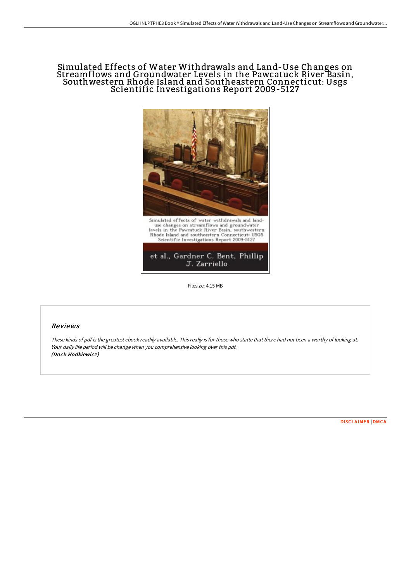## Simulated Effects of Water Withdrawals and Land-Use Changes on Streamflows and Groundwater Levels in the Pawcatuck River Basin, Southwestern Rhode Island and Southeastern Connecticut: Usgs Scientific Investigations Report 2009-5127



Filesize: 4.15 MB

## Reviews

These kinds of pdf is the greatest ebook readily available. This really is for those who statte that there had not been <sup>a</sup> worthy of looking at. Your daily life period will be change when you comprehensive looking over this pdf. (Dock Hodkiewicz)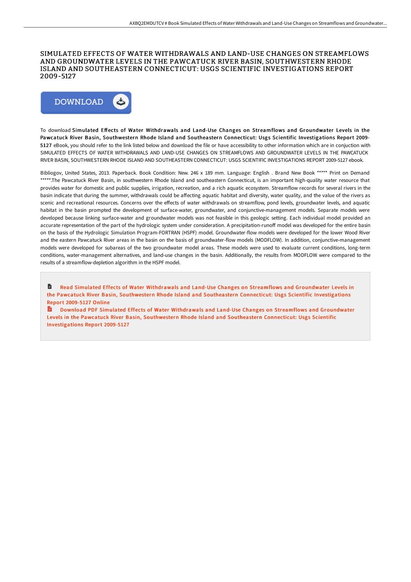## SIMULATED EFFECTS OF WATER WITHDRAWALS AND LAND-USE CHANGES ON STREAMFLOWS AND GROUNDWATER LEVELS IN THE PAWCATUCK RIVER BASIN, SOUTHWESTERN RHODE ISLAND AND SOUTHEASTERN CONNECTICUT: USGS SCIENTIFIC INVESTIGATIONS REPORT 2009-5127



To download Simulated Effects of Water Withdrawals and Land-Use Changes on Streamflows and Groundwater Levels in the Pawcatuck River Basin, Southwestern Rhode Island and Southeastern Connecticut: Usgs Scientific Investigations Report 2009- 5127 eBook, you should refer to the link listed below and download the file or have accessibility to other information which are in conjuction with SIMULATED EFFECTS OF WATER WITHDRAWALS AND LAND-USE CHANGES ON STREAMFLOWS AND GROUNDWATER LEVELS IN THE PAWCATUCK RIVER BASIN, SOUTHWESTERN RHODE ISLAND AND SOUTHEASTERN CONNECTICUT: USGS SCIENTIFIC INVESTIGATIONS REPORT 2009-5127 ebook.

Bibliogov, United States, 2013. Paperback. Book Condition: New. 246 x 189 mm. Language: English . Brand New Book \*\*\*\*\* Print on Demand \*\*\*\*\*.The Pawcatuck River Basin, in southwestern Rhode Island and southeastern Connecticut, is an important high-quality water resource that provides water for domestic and public supplies, irrigation, recreation, and a rich aquatic ecosystem. Streamflow records for several rivers in the basin indicate that during the summer, withdrawals could be affecting aquatic habitat and diversity, water quality, and the value of the rivers as scenic and recreational resources. Concerns over the effects of water withdrawals on streamflow, pond levels, groundwater levels, and aquatic habitat in the basin prompted the development of surface-water, groundwater, and conjunctive-management models. Separate models were developed because linking surface-water and groundwater models was not feasible in this geologic setting. Each individual model provided an accurate representation of the part of the hydrologic system under consideration. A precipitation-runoff model was developed for the entire basin on the basis of the Hydrologic Simulation Program-FORTRAN (HSPF) model. Groundwater-flow models were developed for the lower Wood River and the eastern Pawcatuck River areas in the basin on the basis of groundwater-flow models (MODFLOW). In addition, conjunctive-management models were developed for subareas of the two groundwater model areas. These models were used to evaluate current conditions, long-term conditions, water-management alternatives, and land-use changes in the basin. Additionally, the results from MODFLOW were compared to the results of a streamflow-depletion algorithm in the HSPF model.

自 Read Simulated Effects of Water Withdrawals and Land-Use Changes on Streamflows and Groundwater Levels in the Pawcatuck River Basin, Southwestern Rhode Island and Southeastern Connecticut: Usgs Scientific [Investigations](http://bookera.tech/simulated-effects-of-water-withdrawals-and-land-.html) Report 2009-5127 Online

Download PDF Simulated Effects of Water Withdrawals and Land-Use Changes on Streamflows and Groundwater Levels in the Pawcatuck River Basin, Southwestern Rhode Island and Southeastern Connecticut: Usgs Scientific [Investigations](http://bookera.tech/simulated-effects-of-water-withdrawals-and-land-.html) Report 2009-5127